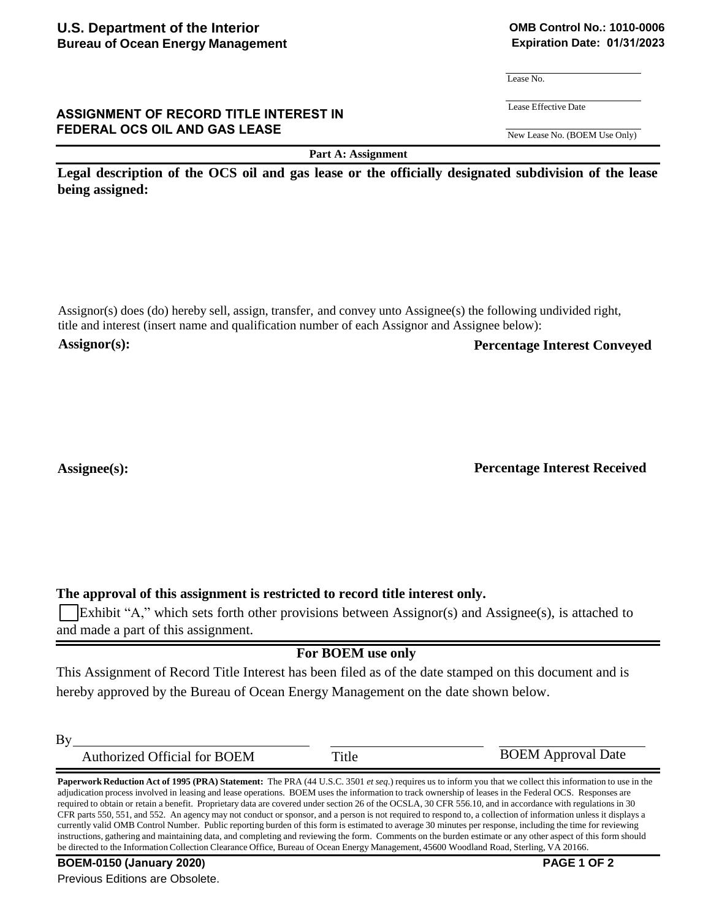#### **ASSIGNMENT OF RECORD TITLE INTEREST IN FEDERAL OCS OIL AND GAS LEASE**

**Part A: Assignment**

**Legal description of the OCS oil and gas lease or the officially designated subdivision of the lease being assigned:**

Assignor(s) does (do) hereby sell, assign, transfer, and convey unto Assignee(s) the following undivided right, title and interest (insert name and qualification number of each Assignor and Assignee below): **Assignor(s): Percentage Interest Conveyed**

# Assignee(s): **Percentage Interest Received**

**The approval of this assignment is restricted to record title interest only.**

Exhibit "A," which sets forth other provisions between Assignor(s) and Assignee(s), is attached to and made a part of this assignment.

# **For BOEM use only**

This Assignment of Record Title Interest has been filed as of the date stamped on this document and is hereby approved by the Bureau of Ocean Energy Management on the date shown below.

 $By$ 

| <b>Authorized Official for BOEM</b><br>Title | <b>BOEM</b> Approval Date |
|----------------------------------------------|---------------------------|
|----------------------------------------------|---------------------------|

**Paperwork Reduction Act of 1995 (PRA) Statement:** The PRA (44 U.S.C. 3501 *et seq*.) requires us to inform you that we collect this information to use in the adjudication process involved in leasing and lease operations. BOEM uses the information to track ownership of leases in the Federal OCS. Responses are required to obtain or retain a benefit. Proprietary data are covered under section 26 of the OCSLA, 30 CFR 556.10, and in accordance with regulations in 30 CFR parts 550, 551, and 552. An agency may not conduct or sponsor, and a person is not required to respond to, a collection of information unless it displays a currently valid OMB Control Number. Public reporting burden of this form is estimated to average 30 minutes per response, including the time for reviewing instructions, gathering and maintaining data, and completing and reviewing the form. Comments on the burden estimate or any other aspect of this form should be directed to the Information Collection Clearance Office, Bureau of Ocean Energy Management, 45600 Woodland Road, Sterling, VA 20166.

## **OMB Control No.: 1010-0006 Expiration Date: 01/31/2023**

Lease No.

Lease Effective Date

New Lease No. (BOEM Use Only)